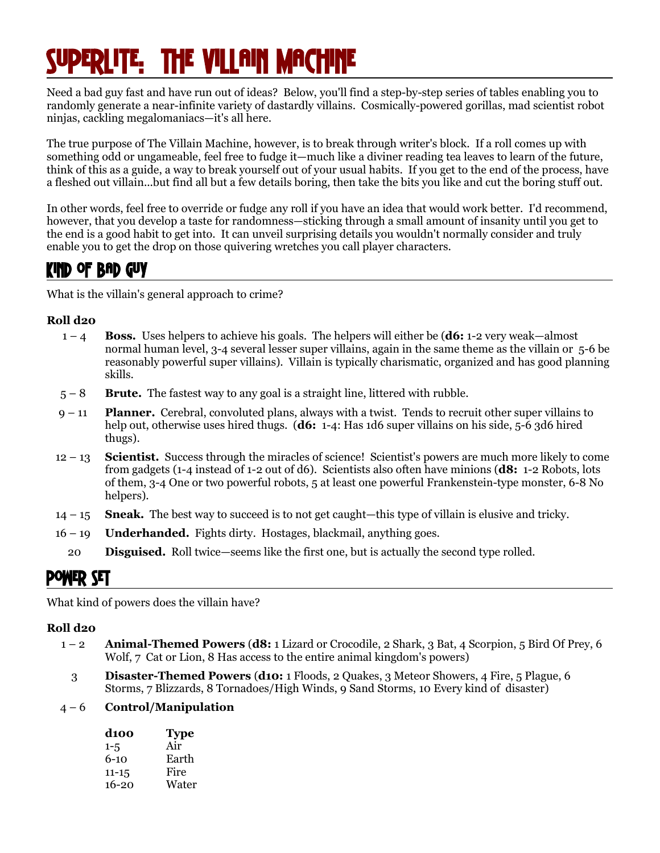# Lite. The Villain Machine

Need a bad guy fast and have run out of ideas? Below, you'll find a step-by-step series of tables enabling you to randomly generate a near-infinite variety of dastardly villains. Cosmically-powered gorillas, mad scientist robot ninjas, cackling megalomaniacs—it's all here.

The true purpose of The Villain Machine, however, is to break through writer's block. If a roll comes up with something odd or ungameable, feel free to fudge it—much like a diviner reading tea leaves to learn of the future, think of this as a guide, a way to break yourself out of your usual habits. If you get to the end of the process, have a fleshed out villain...but find all but a few details boring, then take the bits you like and cut the boring stuff out.

In other words, feel free to override or fudge any roll if you have an idea that would work better. I'd recommend, however, that you develop a taste for randomness—sticking through a small amount of insanity until you get to the end is a good habit to get into. It can unveil surprising details you wouldn't normally consider and truly enable you to get the drop on those quivering wretches you call player characters.

### Kind Of Bad Guy

What is the villain's general approach to crime?

#### **Roll d20**

- 1 4 **Boss.** Uses helpers to achieve his goals. The helpers will either be (**d6:** 1-2 very weak—almost normal human level, 3-4 several lesser super villains, again in the same theme as the villain or 5-6 be reasonably powerful super villains). Villain is typically charismatic, organized and has good planning skills.
- 5 8 **Brute.** The fastest way to any goal is a straight line, littered with rubble.
- 9 11 **Planner.** Cerebral, convoluted plans, always with a twist. Tends to recruit other super villains to help out, otherwise uses hired thugs. (**d6:** 1-4: Has 1d6 super villains on his side, 5-6 3d6 hired thugs).
- 12 13 **Scientist.** Success through the miracles of science! Scientist's powers are much more likely to come from gadgets (1-4 instead of 1-2 out of d6). Scientists also often have minions (**d8:** 1-2 Robots, lots of them, 3-4 One or two powerful robots, 5 at least one powerful Frankenstein-type monster, 6-8 No helpers).
- 14 15 **Sneak.** The best way to succeed is to not get caught—this type of villain is elusive and tricky.
- 16 19 **Underhanded.** Fights dirty. Hostages, blackmail, anything goes.
	- 20 **Disguised.** Roll twice—seems like the first one, but is actually the second type rolled.

### Power Set

What kind of powers does the villain have?

#### **Roll d20**

- 1 2 **Animal-Themed Powers** (**d8:** 1 Lizard or Crocodile, 2 Shark, 3 Bat, 4 Scorpion, 5 Bird Of Prey, 6 Wolf, 7 Cat or Lion, 8 Has access to the entire animal kingdom's powers)
- 3 **Disaster-Themed Powers** (**d10:** 1 Floods, 2 Quakes, 3 Meteor Showers, 4 Fire, 5 Plague, 6 Storms, 7 Blizzards, 8 Tornadoes/High Winds, 9 Sand Storms, 10 Every kind of disaster)

#### 4 – 6 **Control/Manipulation**

| d100      | <b>Type</b> |
|-----------|-------------|
| $1 - 5$   | Air         |
| $6 - 10$  | Earth       |
| $11 - 15$ | Fire        |
| $16 - 20$ | Water       |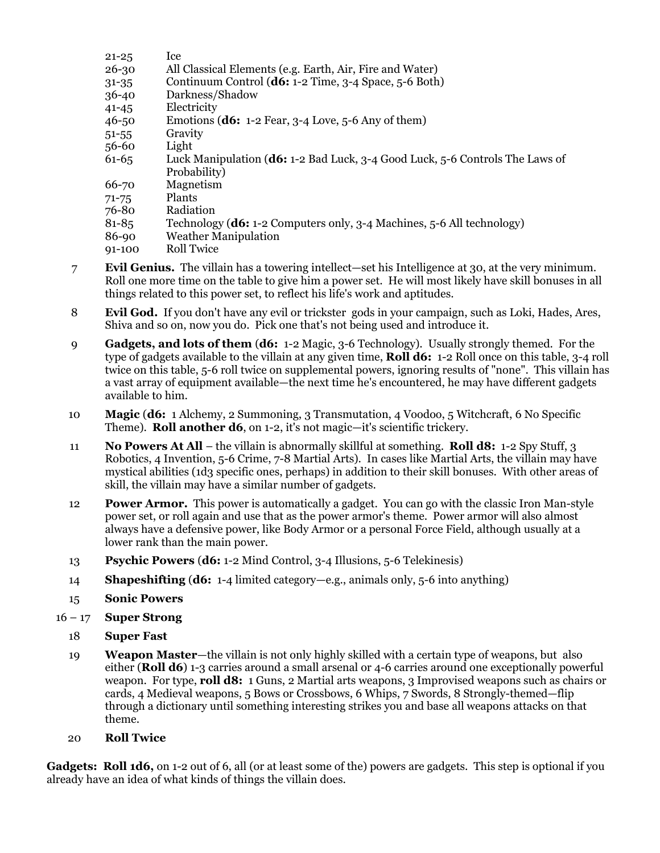| Ice                                                                              |
|----------------------------------------------------------------------------------|
| All Classical Elements (e.g. Earth, Air, Fire and Water)                         |
| Continuum Control ( $\mathbf{d6:}$ 1-2 Time, 3-4 Space, 5-6 Both)                |
| Darkness/Shadow                                                                  |
| Electricity                                                                      |
| Emotions ( $\mathbf{d6:}$ 1-2 Fear, 3-4 Love, 5-6 Any of them)                   |
| Gravity                                                                          |
| Light                                                                            |
| Luck Manipulation ( $d6$ : 1-2 Bad Luck, 3-4 Good Luck, 5-6 Controls The Laws of |
| Probability)                                                                     |
| Magnetism                                                                        |
| Plants                                                                           |
| Radiation                                                                        |
| Technology ( <b>d6:</b> 1-2 Computers only, 3-4 Machines, 5-6 All technology)    |
| <b>Weather Manipulation</b>                                                      |
| Roll Twice                                                                       |
|                                                                                  |

- 7 **Evil Genius.** The villain has a towering intellect—set his Intelligence at 30, at the very minimum. Roll one more time on the table to give him a power set. He will most likely have skill bonuses in all things related to this power set, to reflect his life's work and aptitudes.
- 8 **Evil God.** If you don't have any evil or trickster gods in your campaign, such as Loki, Hades, Ares, Shiva and so on, now you do. Pick one that's not being used and introduce it.
- 9 **Gadgets, and lots of them** (**d6:** 1-2 Magic, 3-6 Technology). Usually strongly themed. For the type of gadgets available to the villain at any given time, **Roll d6:** 1-2 Roll once on this table, 3-4 roll twice on this table, 5-6 roll twice on supplemental powers, ignoring results of "none". This villain has a vast array of equipment available—the next time he's encountered, he may have different gadgets available to him.
- 10 **Magic** (**d6:** 1 Alchemy, 2 Summoning, 3 Transmutation, 4 Voodoo, 5 Witchcraft, 6 No Specific Theme). **Roll another d6**, on 1-2, it's not magic—it's scientific trickery.
- 11 **No Powers At All** the villain is abnormally skillful at something. **Roll d8:** 1-2 Spy Stuff, 3 Robotics, 4 Invention, 5-6 Crime, 7-8 Martial Arts). In cases like Martial Arts, the villain may have mystical abilities (1d3 specific ones, perhaps) in addition to their skill bonuses. With other areas of skill, the villain may have a similar number of gadgets.
- 12 **Power Armor.** This power is automatically a gadget. You can go with the classic Iron Man-style power set, or roll again and use that as the power armor's theme. Power armor will also almost always have a defensive power, like Body Armor or a personal Force Field, although usually at a lower rank than the main power.
- 13 **Psychic Powers** (**d6:** 1-2 Mind Control, 3-4 Illusions, 5-6 Telekinesis)
- 14 **Shapeshifting** (**d6:** 1-4 limited category—e.g., animals only, 5-6 into anything)
- 15 **Sonic Powers**
- 16 17 **Super Strong**
	- 18 **Super Fast**
	- 19 **Weapon Master**—the villain is not only highly skilled with a certain type of weapons, but also either (**Roll d6**) 1-3 carries around a small arsenal or 4-6 carries around one exceptionally powerful weapon. For type, **roll d8:** 1 Guns, 2 Martial arts weapons, 3 Improvised weapons such as chairs or cards, 4 Medieval weapons, 5 Bows or Crossbows, 6 Whips, 7 Swords, 8 Strongly-themed—flip through a dictionary until something interesting strikes you and base all weapons attacks on that theme.
	- 20 **Roll Twice**

**Gadgets: Roll 1d6,** on 1-2 out of 6, all (or at least some of the) powers are gadgets. This step is optional if you already have an idea of what kinds of things the villain does.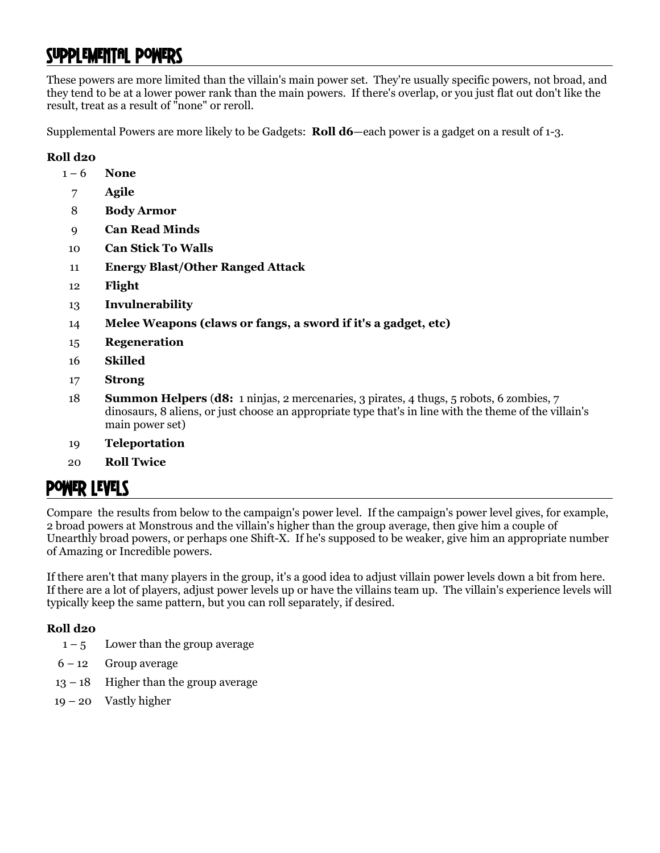## Supplemental Powers

These powers are more limited than the villain's main power set. They're usually specific powers, not broad, and they tend to be at a lower power rank than the main powers. If there's overlap, or you just flat out don't like the result, treat as a result of "none" or reroll.

Supplemental Powers are more likely to be Gadgets: **Roll d6**—each power is a gadget on a result of 1-3.

#### **Roll d20**

- 1 6 **None**
	- 7 **Agile**
	- 8 **Body Armor**
	- 9 **Can Read Minds**
- 10 **Can Stick To Walls**
- 11 **Energy Blast/Other Ranged Attack**
- 12 **Flight**
- 13 **Invulnerability**
- 14 **Melee Weapons (claws or fangs, a sword if it's a gadget, etc)**
- 15 **Regeneration**
- 16 **Skilled**
- 17 **Strong**
- 18 **Summon Helpers** (**d8:** 1 ninjas, 2 mercenaries, 3 pirates, 4 thugs, 5 robots, 6 zombies, 7 dinosaurs, 8 aliens, or just choose an appropriate type that's in line with the theme of the villain's main power set)
- 19 **Teleportation**
- 20 **Roll Twice**

### Power Levels

Compare the results from below to the campaign's power level. If the campaign's power level gives, for example, 2 broad powers at Monstrous and the villain's higher than the group average, then give him a couple of Unearthly broad powers, or perhaps one Shift-X. If he's supposed to be weaker, give him an appropriate number of Amazing or Incredible powers.

If there aren't that many players in the group, it's a good idea to adjust villain power levels down a bit from here. If there are a lot of players, adjust power levels up or have the villains team up. The villain's experience levels will typically keep the same pattern, but you can roll separately, if desired.

#### **Roll d20**

- $1 5$  Lower than the group average
- $6 12$  Group average
- $13 18$  Higher than the group average
- 19 20 Vastly higher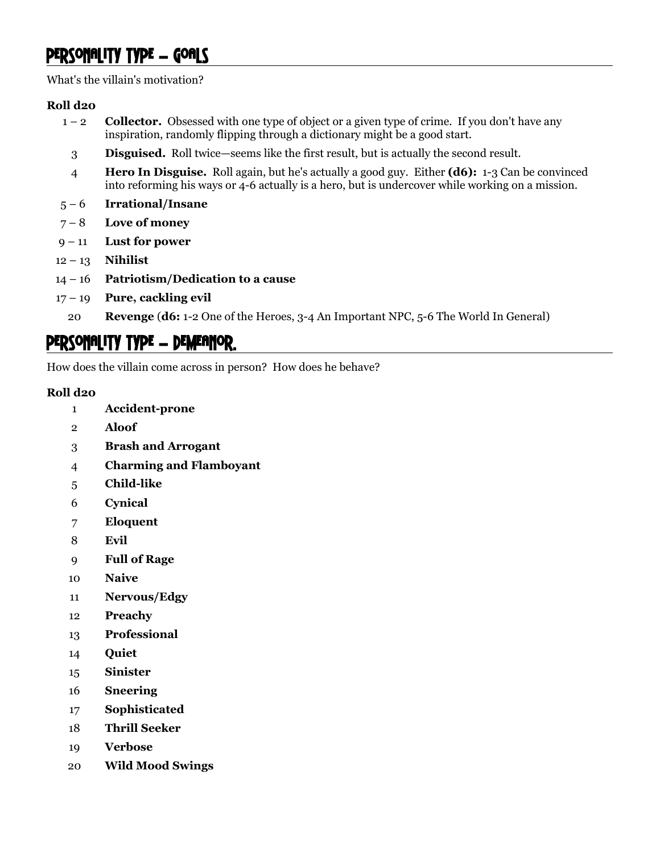### PERSONALITY TYPE - GOALS

What's the villain's motivation?

#### **Roll d20**

- 1 2 **Collector.** Obsessed with one type of object or a given type of crime. If you don't have any inspiration, randomly flipping through a dictionary might be a good start.
	- **Disguised.** Roll twice—seems like the first result, but is actually the second result.
- **Hero In Disguise.** Roll again, but he's actually a good guy. Either **(d6):** 1-3 Can be convinced into reforming his ways or 4-6 actually is a hero, but is undercover while working on a mission.
- 5 6 **Irrational/Insane**
- 7 8 **Love of money**
- 9 11 **Lust for power**
- 12 13 **Nihilist**
- 14 16 **Patriotism/Dedication to a cause**
- 17 19 **Pure, cackling evil**
- **Revenge** (**d6:** 1-2 One of the Heroes, 3-4 An Important NPC, 5-6 The World In General)

### PERSONALITY TYPE - DEMEANOR.

How does the villain come across in person? How does he behave?

#### **Roll d20**

- **Accident-prone**
- **Aloof**
- **Brash and Arrogant**
- **Charming and Flamboyant**
- **Child-like**
- **Cynical**
- **Eloquent**
- **Evil**
- **Full of Rage**
- **Naive**
- **Nervous/Edgy**
- **Preachy**
- **Professional**
- **Quiet**
- **Sinister**
- **Sneering**
- **Sophisticated**
- **Thrill Seeker**
- **Verbose**
- **Wild Mood Swings**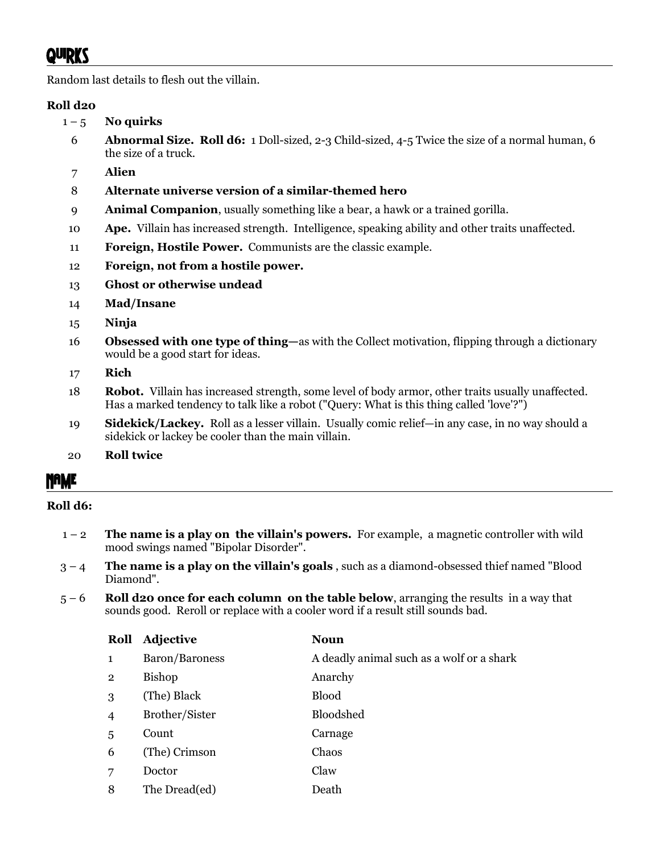Random last details to flesh out the villain.

#### **Roll d20**

- $1 5$  No quirks
	- 6 **Abnormal Size. Roll d6:** 1 Doll-sized, 2-3 Child-sized, 4-5 Twice the size of a normal human, 6 the size of a truck.
	- 7 **Alien**

#### 8 **Alternate universe version of a similar-themed hero**

- 9 **Animal Companion**, usually something like a bear, a hawk or a trained gorilla.
- 10 **Ape.** Villain has increased strength. Intelligence, speaking ability and other traits unaffected.
- 11 **Foreign, Hostile Power.** Communists are the classic example.
- 12 **Foreign, not from a hostile power.**
- 13 **Ghost or otherwise undead**
- 14 **Mad/Insane**
- 15 **Ninja**
- 16 **Obsessed with one type of thing—**as with the Collect motivation, flipping through a dictionary would be a good start for ideas.
- 17 **Rich**
- 18 **Robot.** Villain has increased strength, some level of body armor, other traits usually unaffected. Has a marked tendency to talk like a robot ("Query: What is this thing called 'love'?")
- 19 **Sidekick/Lackey.** Roll as a lesser villain. Usually comic relief—in any case, in no way should a sidekick or lackey be cooler than the main villain.
- 20 **Roll twice**

### Name

#### **Roll d6:**

- 1 2 **The name is a play on the villain's powers.** For example, a magnetic controller with wild mood swings named "Bipolar Disorder".
- 3 4 **The name is a play on the villain's goals** , such as a diamond-obsessed thief named "Blood Diamond".
- 5 6 **Roll d20 once for each column on the table below**, arranging the results in a way that sounds good. Reroll or replace with a cooler word if a result still sounds bad.

| Roll           | <b>Adjective</b> | <b>Noun</b>                               |
|----------------|------------------|-------------------------------------------|
| $\mathbf{1}$   | Baron/Baroness   | A deadly animal such as a wolf or a shark |
| $\overline{2}$ | <b>Bishop</b>    | Anarchy                                   |
| 3              | (The) Black      | <b>Blood</b>                              |
| $\overline{4}$ | Brother/Sister   | Bloodshed                                 |
| 5              | Count            | Carnage                                   |
| 6              | (The) Crimson    | Chaos                                     |
| 7              | Doctor           | Claw                                      |
| 8              | The Dread(ed)    | Death                                     |